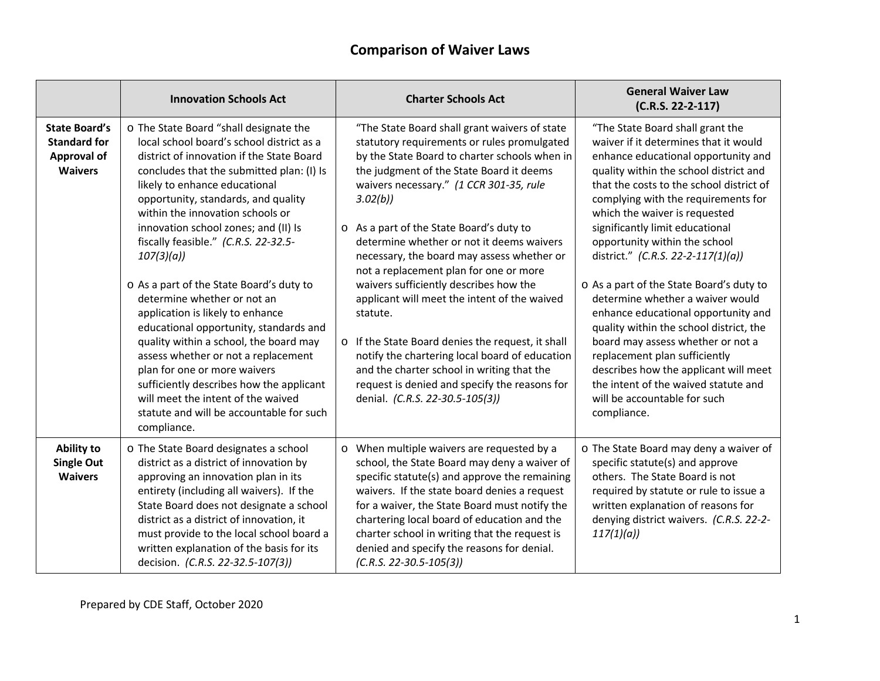|                                                                                     | <b>Innovation Schools Act</b>                                                                                                                                                                                                                                                                                                                                                                                                                                                                                                                                                                                                                                                                                                                                                                                 | <b>Charter Schools Act</b>                                                                                                                                                                                                                                                                                                                                                                                                                                                                                                                                                                                                                                                                                                                                                      | <b>General Waiver Law</b><br>$(C.R.S. 22-2-117)$                                                                                                                                                                                                                                                                                                                                                                                                                                                                                                                                                                                                                                                                                                                   |
|-------------------------------------------------------------------------------------|---------------------------------------------------------------------------------------------------------------------------------------------------------------------------------------------------------------------------------------------------------------------------------------------------------------------------------------------------------------------------------------------------------------------------------------------------------------------------------------------------------------------------------------------------------------------------------------------------------------------------------------------------------------------------------------------------------------------------------------------------------------------------------------------------------------|---------------------------------------------------------------------------------------------------------------------------------------------------------------------------------------------------------------------------------------------------------------------------------------------------------------------------------------------------------------------------------------------------------------------------------------------------------------------------------------------------------------------------------------------------------------------------------------------------------------------------------------------------------------------------------------------------------------------------------------------------------------------------------|--------------------------------------------------------------------------------------------------------------------------------------------------------------------------------------------------------------------------------------------------------------------------------------------------------------------------------------------------------------------------------------------------------------------------------------------------------------------------------------------------------------------------------------------------------------------------------------------------------------------------------------------------------------------------------------------------------------------------------------------------------------------|
| <b>State Board's</b><br><b>Standard for</b><br><b>Approval of</b><br><b>Waivers</b> | o The State Board "shall designate the<br>local school board's school district as a<br>district of innovation if the State Board<br>concludes that the submitted plan: (I) Is<br>likely to enhance educational<br>opportunity, standards, and quality<br>within the innovation schools or<br>innovation school zones; and (II) Is<br>fiscally feasible." (C.R.S. 22-32.5-<br>107(3)(a)<br>o As a part of the State Board's duty to<br>determine whether or not an<br>application is likely to enhance<br>educational opportunity, standards and<br>quality within a school, the board may<br>assess whether or not a replacement<br>plan for one or more waivers<br>sufficiently describes how the applicant<br>will meet the intent of the waived<br>statute and will be accountable for such<br>compliance. | "The State Board shall grant waivers of state<br>statutory requirements or rules promulgated<br>by the State Board to charter schools when in<br>the judgment of the State Board it deems<br>waivers necessary." (1 CCR 301-35, rule<br>3.02(b)<br>o As a part of the State Board's duty to<br>determine whether or not it deems waivers<br>necessary, the board may assess whether or<br>not a replacement plan for one or more<br>waivers sufficiently describes how the<br>applicant will meet the intent of the waived<br>statute.<br>o If the State Board denies the request, it shall<br>notify the chartering local board of education<br>and the charter school in writing that the<br>request is denied and specify the reasons for<br>denial. (C.R.S. 22-30.5-105(3)) | "The State Board shall grant the<br>waiver if it determines that it would<br>enhance educational opportunity and<br>quality within the school district and<br>that the costs to the school district of<br>complying with the requirements for<br>which the waiver is requested<br>significantly limit educational<br>opportunity within the school<br>district." $(C.R.S. 22-2-117(1)(a))$<br>o As a part of the State Board's duty to<br>determine whether a waiver would<br>enhance educational opportunity and<br>quality within the school district, the<br>board may assess whether or not a<br>replacement plan sufficiently<br>describes how the applicant will meet<br>the intent of the waived statute and<br>will be accountable for such<br>compliance. |
| <b>Ability to</b><br><b>Single Out</b><br><b>Waivers</b>                            | o The State Board designates a school<br>district as a district of innovation by<br>approving an innovation plan in its<br>entirety (including all waivers). If the<br>State Board does not designate a school<br>district as a district of innovation, it<br>must provide to the local school board a<br>written explanation of the basis for its<br>decision. (C.R.S. 22-32.5-107(3))                                                                                                                                                                                                                                                                                                                                                                                                                       | o When multiple waivers are requested by a<br>school, the State Board may deny a waiver of<br>specific statute(s) and approve the remaining<br>waivers. If the state board denies a request<br>for a waiver, the State Board must notify the<br>chartering local board of education and the<br>charter school in writing that the request is<br>denied and specify the reasons for denial.<br>$(C.R.S. 22-30.5-105(3))$                                                                                                                                                                                                                                                                                                                                                         | o The State Board may deny a waiver of<br>specific statute(s) and approve<br>others. The State Board is not<br>required by statute or rule to issue a<br>written explanation of reasons for<br>denying district waivers. (C.R.S. 22-2-<br>117(1)(a)                                                                                                                                                                                                                                                                                                                                                                                                                                                                                                                |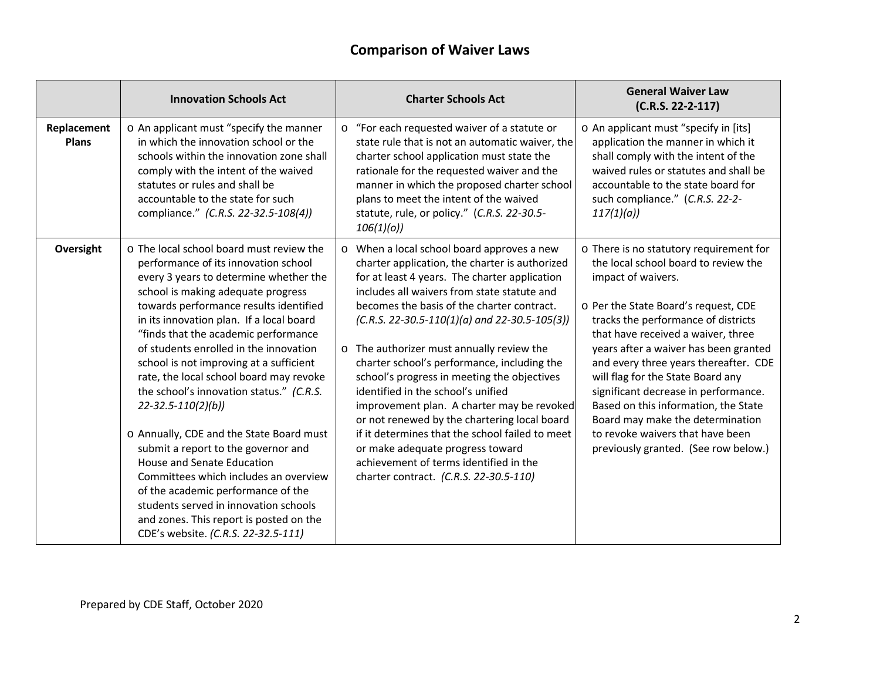|                             | <b>Innovation Schools Act</b>                                                                                                                                                                                                                                                                                                                                                                                                                                                                                                                                                                                                                                                                                                                                                                                                    | <b>Charter Schools Act</b>                                                                                                                                                                                                                                                                                                                                                                                                                                                                                                                                                                                                                                                                                                                              | <b>General Waiver Law</b><br>$(C.R.S. 22-2-117)$                                                                                                                                                                                                                                                                                                                                                                                                                                                                                                  |
|-----------------------------|----------------------------------------------------------------------------------------------------------------------------------------------------------------------------------------------------------------------------------------------------------------------------------------------------------------------------------------------------------------------------------------------------------------------------------------------------------------------------------------------------------------------------------------------------------------------------------------------------------------------------------------------------------------------------------------------------------------------------------------------------------------------------------------------------------------------------------|---------------------------------------------------------------------------------------------------------------------------------------------------------------------------------------------------------------------------------------------------------------------------------------------------------------------------------------------------------------------------------------------------------------------------------------------------------------------------------------------------------------------------------------------------------------------------------------------------------------------------------------------------------------------------------------------------------------------------------------------------------|---------------------------------------------------------------------------------------------------------------------------------------------------------------------------------------------------------------------------------------------------------------------------------------------------------------------------------------------------------------------------------------------------------------------------------------------------------------------------------------------------------------------------------------------------|
| Replacement<br><b>Plans</b> | o An applicant must "specify the manner<br>in which the innovation school or the<br>schools within the innovation zone shall<br>comply with the intent of the waived<br>statutes or rules and shall be<br>accountable to the state for such<br>compliance." (C.R.S. 22-32.5-108(4))                                                                                                                                                                                                                                                                                                                                                                                                                                                                                                                                              | o "For each requested waiver of a statute or<br>state rule that is not an automatic waiver, the<br>charter school application must state the<br>rationale for the requested waiver and the<br>manner in which the proposed charter school<br>plans to meet the intent of the waived<br>statute, rule, or policy." (C.R.S. 22-30.5-<br>106(1)(o)                                                                                                                                                                                                                                                                                                                                                                                                         | o An applicant must "specify in [its]<br>application the manner in which it<br>shall comply with the intent of the<br>waived rules or statutes and shall be<br>accountable to the state board for<br>such compliance." (C.R.S. 22-2-<br>117(1)(a)                                                                                                                                                                                                                                                                                                 |
| Oversight                   | o The local school board must review the<br>performance of its innovation school<br>every 3 years to determine whether the<br>school is making adequate progress<br>towards performance results identified<br>in its innovation plan. If a local board<br>"finds that the academic performance<br>of students enrolled in the innovation<br>school is not improving at a sufficient<br>rate, the local school board may revoke<br>the school's innovation status." (C.R.S.<br>$22 - 32.5 - 110(2)(b)$<br>o Annually, CDE and the State Board must<br>submit a report to the governor and<br>House and Senate Education<br>Committees which includes an overview<br>of the academic performance of the<br>students served in innovation schools<br>and zones. This report is posted on the<br>CDE's website. (C.R.S. 22-32.5-111) | o When a local school board approves a new<br>charter application, the charter is authorized<br>for at least 4 years. The charter application<br>includes all waivers from state statute and<br>becomes the basis of the charter contract.<br>$(C.R.S. 22-30.5-110(1)(a)$ and 22-30.5-105(3))<br>o The authorizer must annually review the<br>charter school's performance, including the<br>school's progress in meeting the objectives<br>identified in the school's unified<br>improvement plan. A charter may be revoked<br>or not renewed by the chartering local board<br>if it determines that the school failed to meet<br>or make adequate progress toward<br>achievement of terms identified in the<br>charter contract. (C.R.S. 22-30.5-110) | o There is no statutory requirement for<br>the local school board to review the<br>impact of waivers.<br>o Per the State Board's request, CDE<br>tracks the performance of districts<br>that have received a waiver, three<br>years after a waiver has been granted<br>and every three years thereafter. CDE<br>will flag for the State Board any<br>significant decrease in performance.<br>Based on this information, the State<br>Board may make the determination<br>to revoke waivers that have been<br>previously granted. (See row below.) |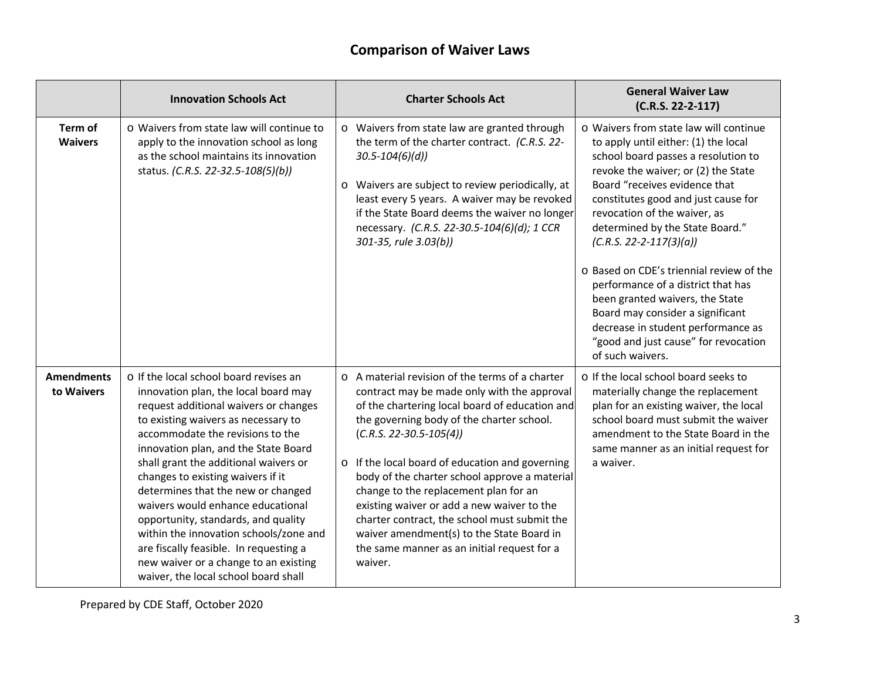|                                 | <b>Innovation Schools Act</b>                                                                                                                                                                                                                                                                                                                                                                                                                                                                                                                                                                                   | <b>Charter Schools Act</b>                                                                                                                                                                                                                                                                                                                                                                                                                                                                                                                                                   | <b>General Waiver Law</b><br>$(C.R.S. 22-2-117)$                                                                                                                                                                                                                                                                                                                                                                                                                                                                                                                                                |
|---------------------------------|-----------------------------------------------------------------------------------------------------------------------------------------------------------------------------------------------------------------------------------------------------------------------------------------------------------------------------------------------------------------------------------------------------------------------------------------------------------------------------------------------------------------------------------------------------------------------------------------------------------------|------------------------------------------------------------------------------------------------------------------------------------------------------------------------------------------------------------------------------------------------------------------------------------------------------------------------------------------------------------------------------------------------------------------------------------------------------------------------------------------------------------------------------------------------------------------------------|-------------------------------------------------------------------------------------------------------------------------------------------------------------------------------------------------------------------------------------------------------------------------------------------------------------------------------------------------------------------------------------------------------------------------------------------------------------------------------------------------------------------------------------------------------------------------------------------------|
| Term of<br><b>Waivers</b>       | o Waivers from state law will continue to<br>apply to the innovation school as long<br>as the school maintains its innovation<br>status. (C.R.S. 22-32.5-108(5)(b))                                                                                                                                                                                                                                                                                                                                                                                                                                             | o Waivers from state law are granted through<br>the term of the charter contract. (C.R.S. 22-<br>$30.5 - 104(6)(d)$<br>Waivers are subject to review periodically, at<br>O<br>least every 5 years. A waiver may be revoked<br>if the State Board deems the waiver no longer<br>necessary. (C.R.S. 22-30.5-104(6)(d); 1 CCR<br>301-35, rule 3.03(b))                                                                                                                                                                                                                          | o Waivers from state law will continue<br>to apply until either: (1) the local<br>school board passes a resolution to<br>revoke the waiver; or (2) the State<br>Board "receives evidence that<br>constitutes good and just cause for<br>revocation of the waiver, as<br>determined by the State Board."<br>$(C.R.S. 22-2-117(3)(a))$<br>o Based on CDE's triennial review of the<br>performance of a district that has<br>been granted waivers, the State<br>Board may consider a significant<br>decrease in student performance as<br>"good and just cause" for revocation<br>of such waivers. |
| <b>Amendments</b><br>to Waivers | o If the local school board revises an<br>innovation plan, the local board may<br>request additional waivers or changes<br>to existing waivers as necessary to<br>accommodate the revisions to the<br>innovation plan, and the State Board<br>shall grant the additional waivers or<br>changes to existing waivers if it<br>determines that the new or changed<br>waivers would enhance educational<br>opportunity, standards, and quality<br>within the innovation schools/zone and<br>are fiscally feasible. In requesting a<br>new waiver or a change to an existing<br>waiver, the local school board shall | o A material revision of the terms of a charter<br>contract may be made only with the approval<br>of the chartering local board of education and<br>the governing body of the charter school.<br>$(C.R.S. 22-30.5-105(4))$<br>o If the local board of education and governing<br>body of the charter school approve a material<br>change to the replacement plan for an<br>existing waiver or add a new waiver to the<br>charter contract, the school must submit the<br>waiver amendment(s) to the State Board in<br>the same manner as an initial request for a<br>waiver. | o If the local school board seeks to<br>materially change the replacement<br>plan for an existing waiver, the local<br>school board must submit the waiver<br>amendment to the State Board in the<br>same manner as an initial request for<br>a waiver.                                                                                                                                                                                                                                                                                                                                         |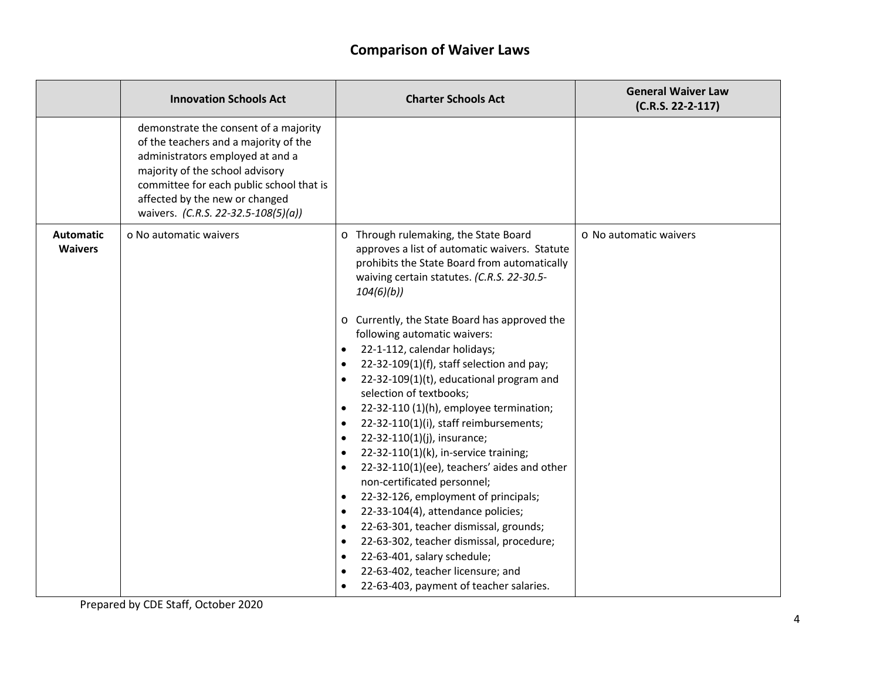|                                    | <b>Innovation Schools Act</b>                                                                                                                                                                                                                                              | <b>Charter Schools Act</b>                                                                                                                                                                                                                                                                                                                                                                                                                                                                                                                                                                                                                                                                                                                                                                                                                                                                                                                                                                                                                                                                   | <b>General Waiver Law</b><br>$(C.R.S. 22-2-117)$ |
|------------------------------------|----------------------------------------------------------------------------------------------------------------------------------------------------------------------------------------------------------------------------------------------------------------------------|----------------------------------------------------------------------------------------------------------------------------------------------------------------------------------------------------------------------------------------------------------------------------------------------------------------------------------------------------------------------------------------------------------------------------------------------------------------------------------------------------------------------------------------------------------------------------------------------------------------------------------------------------------------------------------------------------------------------------------------------------------------------------------------------------------------------------------------------------------------------------------------------------------------------------------------------------------------------------------------------------------------------------------------------------------------------------------------------|--------------------------------------------------|
|                                    | demonstrate the consent of a majority<br>of the teachers and a majority of the<br>administrators employed at and a<br>majority of the school advisory<br>committee for each public school that is<br>affected by the new or changed<br>waivers. (C.R.S. 22-32.5-108(5)(a)) |                                                                                                                                                                                                                                                                                                                                                                                                                                                                                                                                                                                                                                                                                                                                                                                                                                                                                                                                                                                                                                                                                              |                                                  |
| <b>Automatic</b><br><b>Waivers</b> | o No automatic waivers                                                                                                                                                                                                                                                     | o Through rulemaking, the State Board<br>approves a list of automatic waivers. Statute<br>prohibits the State Board from automatically<br>waiving certain statutes. (C.R.S. 22-30.5-<br>104(6)(b)<br>o Currently, the State Board has approved the<br>following automatic waivers:<br>22-1-112, calendar holidays;<br>$\bullet$<br>22-32-109(1)(f), staff selection and pay;<br>22-32-109(1)(t), educational program and<br>selection of textbooks;<br>22-32-110 (1)(h), employee termination;<br>$\bullet$<br>22-32-110(1)(i), staff reimbursements;<br>$\bullet$<br>22-32-110(1)(j), insurance;<br>$\bullet$<br>$22-32-110(1)(k)$ , in-service training;<br>$\bullet$<br>22-32-110(1)(ee), teachers' aides and other<br>non-certificated personnel;<br>22-32-126, employment of principals;<br>22-33-104(4), attendance policies;<br>$\bullet$<br>22-63-301, teacher dismissal, grounds;<br>$\bullet$<br>22-63-302, teacher dismissal, procedure;<br>$\bullet$<br>22-63-401, salary schedule;<br>$\bullet$<br>22-63-402, teacher licensure; and<br>22-63-403, payment of teacher salaries. | o No automatic waivers                           |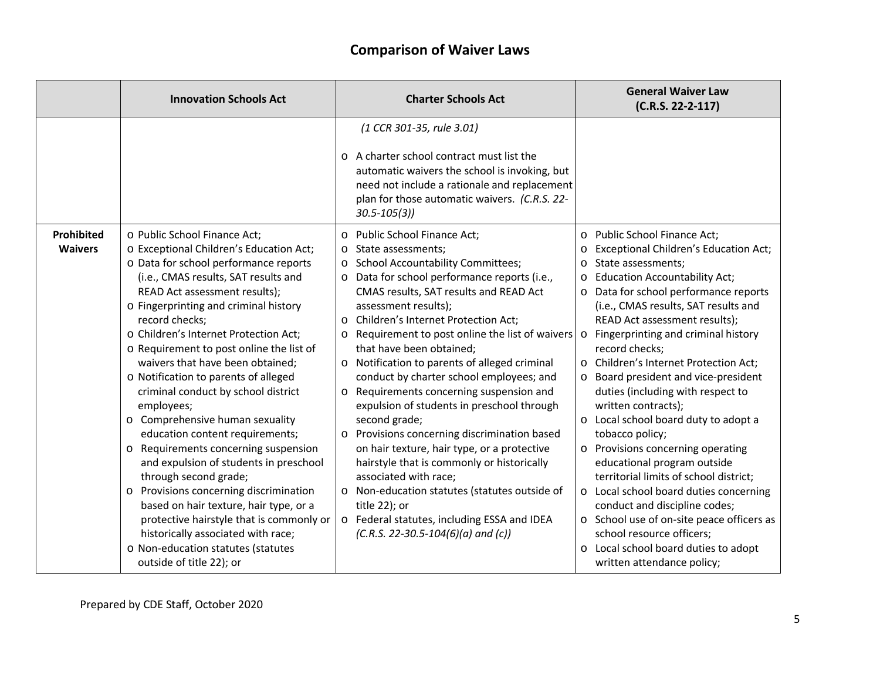|                              | <b>Innovation Schools Act</b>                                                                                                                                                                                                                                                                                                                                                                                                                                                                                                                                                                                                                                                                                                                                                                                                                                                                                         | <b>Charter Schools Act</b>                                                                                                                                                                                                                                                                                                                                                                                                                                                                                                                                                                                                                                                                                                                                                                                                                                                       | <b>General Waiver Law</b><br>$(C.R.S. 22-2-117)$                                                                                                                                                                                                                                                                                                                                                                                                                                                                                                                                                                                                                                                                                                                                                                                                                          |
|------------------------------|-----------------------------------------------------------------------------------------------------------------------------------------------------------------------------------------------------------------------------------------------------------------------------------------------------------------------------------------------------------------------------------------------------------------------------------------------------------------------------------------------------------------------------------------------------------------------------------------------------------------------------------------------------------------------------------------------------------------------------------------------------------------------------------------------------------------------------------------------------------------------------------------------------------------------|----------------------------------------------------------------------------------------------------------------------------------------------------------------------------------------------------------------------------------------------------------------------------------------------------------------------------------------------------------------------------------------------------------------------------------------------------------------------------------------------------------------------------------------------------------------------------------------------------------------------------------------------------------------------------------------------------------------------------------------------------------------------------------------------------------------------------------------------------------------------------------|---------------------------------------------------------------------------------------------------------------------------------------------------------------------------------------------------------------------------------------------------------------------------------------------------------------------------------------------------------------------------------------------------------------------------------------------------------------------------------------------------------------------------------------------------------------------------------------------------------------------------------------------------------------------------------------------------------------------------------------------------------------------------------------------------------------------------------------------------------------------------|
|                              |                                                                                                                                                                                                                                                                                                                                                                                                                                                                                                                                                                                                                                                                                                                                                                                                                                                                                                                       | (1 CCR 301-35, rule 3.01)<br>o A charter school contract must list the<br>automatic waivers the school is invoking, but<br>need not include a rationale and replacement<br>plan for those automatic waivers. (C.R.S. 22-<br>$30.5 - 105(3)$                                                                                                                                                                                                                                                                                                                                                                                                                                                                                                                                                                                                                                      |                                                                                                                                                                                                                                                                                                                                                                                                                                                                                                                                                                                                                                                                                                                                                                                                                                                                           |
| Prohibited<br><b>Waivers</b> | o Public School Finance Act;<br>o Exceptional Children's Education Act;<br>o Data for school performance reports<br>(i.e., CMAS results, SAT results and<br>READ Act assessment results);<br>o Fingerprinting and criminal history<br>record checks;<br>o Children's Internet Protection Act;<br>o Requirement to post online the list of<br>waivers that have been obtained;<br>o Notification to parents of alleged<br>criminal conduct by school district<br>employees;<br>o Comprehensive human sexuality<br>education content requirements;<br>Requirements concerning suspension<br>$\circ$<br>and expulsion of students in preschool<br>through second grade;<br>Provisions concerning discrimination<br>$\circ$<br>based on hair texture, hair type, or a<br>protective hairstyle that is commonly or<br>historically associated with race;<br>o Non-education statutes (statutes<br>outside of title 22); or | o Public School Finance Act;<br>o State assessments;<br>o School Accountability Committees;<br>o Data for school performance reports (i.e.,<br>CMAS results, SAT results and READ Act<br>assessment results);<br>o Children's Internet Protection Act;<br>o Requirement to post online the list of waivers<br>that have been obtained;<br>o Notification to parents of alleged criminal<br>conduct by charter school employees; and<br>o Requirements concerning suspension and<br>expulsion of students in preschool through<br>second grade;<br>o Provisions concerning discrimination based<br>on hair texture, hair type, or a protective<br>hairstyle that is commonly or historically<br>associated with race;<br>o Non-education statutes (statutes outside of<br>title 22); or<br>o Federal statutes, including ESSA and IDEA<br>$(C.R.S. 22-30.5-104(6)(a)$ and $(c)$ ) | o Public School Finance Act;<br>Exceptional Children's Education Act;<br>$\circ$<br>o State assessments;<br>o Education Accountability Act;<br>o Data for school performance reports<br>(i.e., CMAS results, SAT results and<br>READ Act assessment results);<br>o Fingerprinting and criminal history<br>record checks;<br>o Children's Internet Protection Act;<br>o Board president and vice-president<br>duties (including with respect to<br>written contracts);<br>o Local school board duty to adopt a<br>tobacco policy;<br>o Provisions concerning operating<br>educational program outside<br>territorial limits of school district;<br>o Local school board duties concerning<br>conduct and discipline codes;<br>o School use of on-site peace officers as<br>school resource officers;<br>o Local school board duties to adopt<br>written attendance policy; |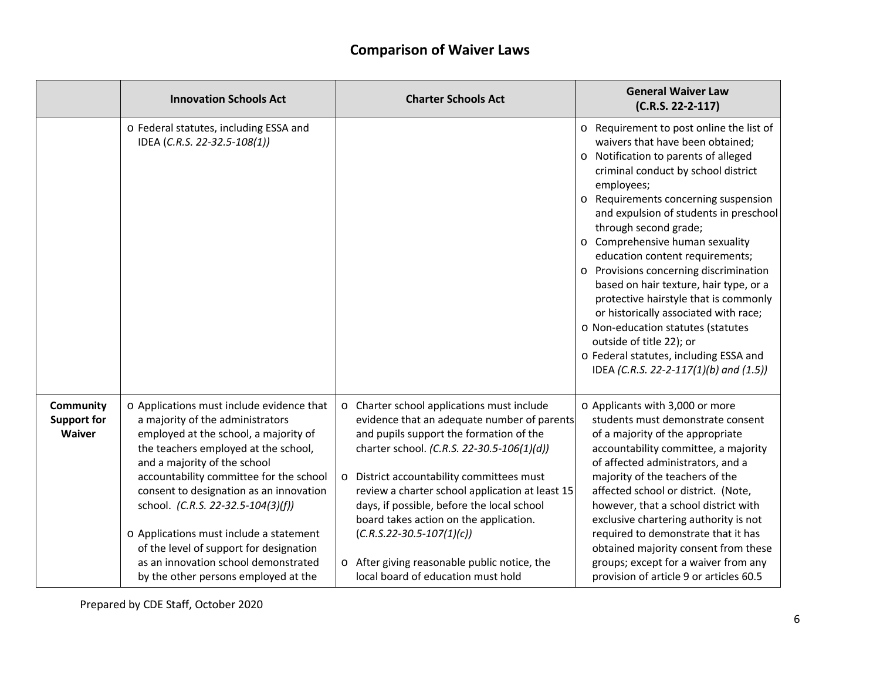|                                                  | <b>Innovation Schools Act</b>                                                                                                                                                                                                                                                                                                                                                                                                                                                                    | <b>Charter Schools Act</b>                                                                                                                                                                                                                                                                                                                                                                                                                                                                      | <b>General Waiver Law</b><br>$(C.R.S. 22-2-117)$                                                                                                                                                                                                                                                                                                                                                                                                                                                                                                                                                                                                                                       |
|--------------------------------------------------|--------------------------------------------------------------------------------------------------------------------------------------------------------------------------------------------------------------------------------------------------------------------------------------------------------------------------------------------------------------------------------------------------------------------------------------------------------------------------------------------------|-------------------------------------------------------------------------------------------------------------------------------------------------------------------------------------------------------------------------------------------------------------------------------------------------------------------------------------------------------------------------------------------------------------------------------------------------------------------------------------------------|----------------------------------------------------------------------------------------------------------------------------------------------------------------------------------------------------------------------------------------------------------------------------------------------------------------------------------------------------------------------------------------------------------------------------------------------------------------------------------------------------------------------------------------------------------------------------------------------------------------------------------------------------------------------------------------|
|                                                  | o Federal statutes, including ESSA and<br>IDEA (C.R.S. 22-32.5-108(1))                                                                                                                                                                                                                                                                                                                                                                                                                           |                                                                                                                                                                                                                                                                                                                                                                                                                                                                                                 | o Requirement to post online the list of<br>waivers that have been obtained;<br>o Notification to parents of alleged<br>criminal conduct by school district<br>employees;<br>o Requirements concerning suspension<br>and expulsion of students in preschool<br>through second grade;<br>o Comprehensive human sexuality<br>education content requirements;<br>o Provisions concerning discrimination<br>based on hair texture, hair type, or a<br>protective hairstyle that is commonly<br>or historically associated with race;<br>o Non-education statutes (statutes<br>outside of title 22); or<br>o Federal statutes, including ESSA and<br>IDEA (C.R.S. 22-2-117(1)(b) and (1.5)) |
| <b>Community</b><br><b>Support for</b><br>Waiver | o Applications must include evidence that<br>a majority of the administrators<br>employed at the school, a majority of<br>the teachers employed at the school,<br>and a majority of the school<br>accountability committee for the school<br>consent to designation as an innovation<br>school. (C.R.S. 22-32.5-104(3)(f))<br>o Applications must include a statement<br>of the level of support for designation<br>as an innovation school demonstrated<br>by the other persons employed at the | o Charter school applications must include<br>evidence that an adequate number of parents<br>and pupils support the formation of the<br>charter school. (C.R.S. 22-30.5-106(1)(d))<br>o District accountability committees must<br>review a charter school application at least 15<br>days, if possible, before the local school<br>board takes action on the application.<br>$(C.R.S.22-30.5-107(1)(c))$<br>o After giving reasonable public notice, the<br>local board of education must hold | o Applicants with 3,000 or more<br>students must demonstrate consent<br>of a majority of the appropriate<br>accountability committee, a majority<br>of affected administrators, and a<br>majority of the teachers of the<br>affected school or district. (Note,<br>however, that a school district with<br>exclusive chartering authority is not<br>required to demonstrate that it has<br>obtained majority consent from these<br>groups; except for a waiver from any<br>provision of article 9 or articles 60.5                                                                                                                                                                     |

Prepared by CDE Staff, October 2020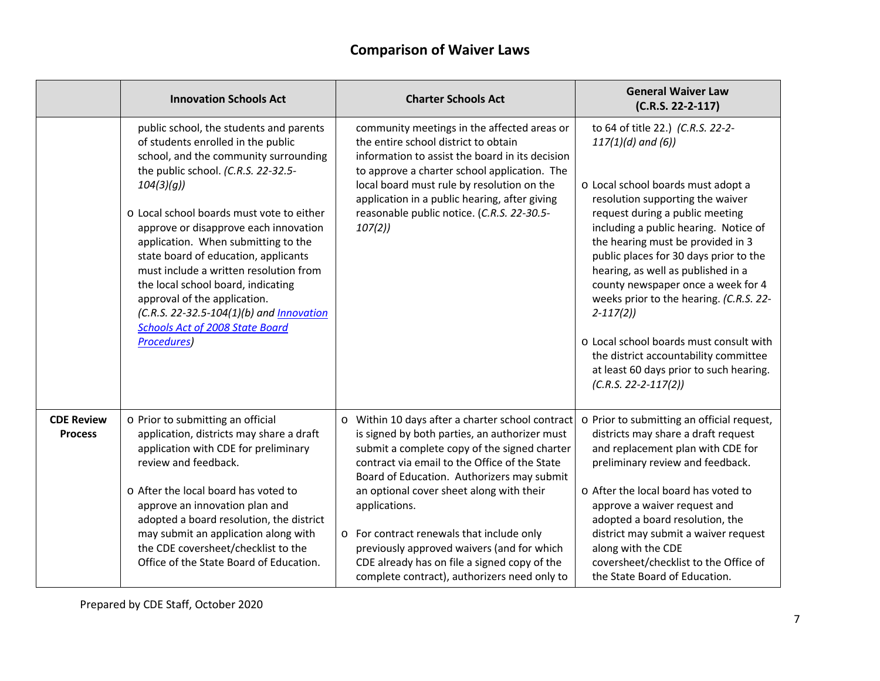|                                     | <b>Innovation Schools Act</b>                                                                                                                                                                                                                                                                                                                                                                                                                                                                                                                                                       | <b>Charter Schools Act</b>                                                                                                                                                                                                                                                                                                                                                                                                                                                                               | <b>General Waiver Law</b><br>$(C.R.S. 22-2-117)$                                                                                                                                                                                                                                                                                                                                                                                                                                                                                                                                               |
|-------------------------------------|-------------------------------------------------------------------------------------------------------------------------------------------------------------------------------------------------------------------------------------------------------------------------------------------------------------------------------------------------------------------------------------------------------------------------------------------------------------------------------------------------------------------------------------------------------------------------------------|----------------------------------------------------------------------------------------------------------------------------------------------------------------------------------------------------------------------------------------------------------------------------------------------------------------------------------------------------------------------------------------------------------------------------------------------------------------------------------------------------------|------------------------------------------------------------------------------------------------------------------------------------------------------------------------------------------------------------------------------------------------------------------------------------------------------------------------------------------------------------------------------------------------------------------------------------------------------------------------------------------------------------------------------------------------------------------------------------------------|
|                                     | public school, the students and parents<br>of students enrolled in the public<br>school, and the community surrounding<br>the public school. (C.R.S. 22-32.5-<br>104(3)(g)<br>o Local school boards must vote to either<br>approve or disapprove each innovation<br>application. When submitting to the<br>state board of education, applicants<br>must include a written resolution from<br>the local school board, indicating<br>approval of the application.<br>(C.R.S. 22-32.5-104(1)(b) and <b>Innovation</b><br><b>Schools Act of 2008 State Board</b><br><b>Procedures</b> ) | community meetings in the affected areas or<br>the entire school district to obtain<br>information to assist the board in its decision<br>to approve a charter school application. The<br>local board must rule by resolution on the<br>application in a public hearing, after giving<br>reasonable public notice. (C.R.S. 22-30.5-<br>107(2)                                                                                                                                                            | to 64 of title 22.) (C.R.S. 22-2-<br>$117(1)(d)$ and (6))<br>o Local school boards must adopt a<br>resolution supporting the waiver<br>request during a public meeting<br>including a public hearing. Notice of<br>the hearing must be provided in 3<br>public places for 30 days prior to the<br>hearing, as well as published in a<br>county newspaper once a week for 4<br>weeks prior to the hearing. (C.R.S. 22-<br>$2 - 117(2)$<br>o Local school boards must consult with<br>the district accountability committee<br>at least 60 days prior to such hearing.<br>$(C.R.S. 22-2-117(2))$ |
| <b>CDE Review</b><br><b>Process</b> | o Prior to submitting an official<br>application, districts may share a draft<br>application with CDE for preliminary<br>review and feedback.<br>o After the local board has voted to<br>approve an innovation plan and<br>adopted a board resolution, the district<br>may submit an application along with<br>the CDE coversheet/checklist to the<br>Office of the State Board of Education.                                                                                                                                                                                       | o Within 10 days after a charter school contract<br>is signed by both parties, an authorizer must<br>submit a complete copy of the signed charter<br>contract via email to the Office of the State<br>Board of Education. Authorizers may submit<br>an optional cover sheet along with their<br>applications.<br>o For contract renewals that include only<br>previously approved waivers (and for which<br>CDE already has on file a signed copy of the<br>complete contract), authorizers need only to | o Prior to submitting an official request,<br>districts may share a draft request<br>and replacement plan with CDE for<br>preliminary review and feedback.<br>o After the local board has voted to<br>approve a waiver request and<br>adopted a board resolution, the<br>district may submit a waiver request<br>along with the CDE<br>coversheet/checklist to the Office of<br>the State Board of Education.                                                                                                                                                                                  |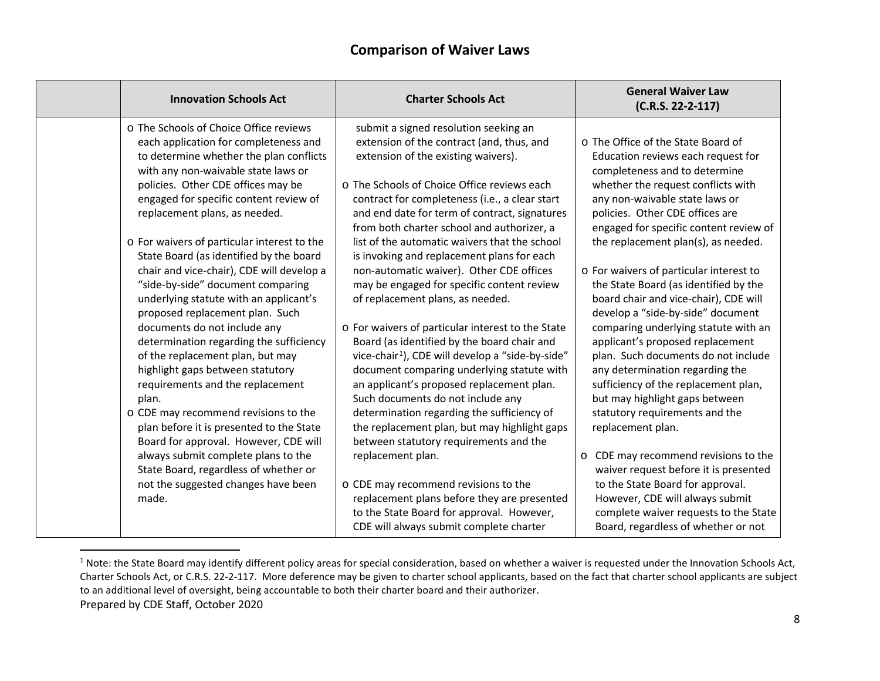<span id="page-7-0"></span>

| <b>Innovation Schools Act</b>                                                                                                                                                                                                                                                                                                                                                                                                                                                                            | <b>Charter Schools Act</b>                                                                                                                                                                                                                                                                                                                                                                                                                                                                                                                                                                                                                   | <b>General Waiver Law</b><br>$(C.R.S. 22-2-117)$                                                                                                                                                                                                                                                                                                                                                                                                                                                                                                                    |
|----------------------------------------------------------------------------------------------------------------------------------------------------------------------------------------------------------------------------------------------------------------------------------------------------------------------------------------------------------------------------------------------------------------------------------------------------------------------------------------------------------|----------------------------------------------------------------------------------------------------------------------------------------------------------------------------------------------------------------------------------------------------------------------------------------------------------------------------------------------------------------------------------------------------------------------------------------------------------------------------------------------------------------------------------------------------------------------------------------------------------------------------------------------|---------------------------------------------------------------------------------------------------------------------------------------------------------------------------------------------------------------------------------------------------------------------------------------------------------------------------------------------------------------------------------------------------------------------------------------------------------------------------------------------------------------------------------------------------------------------|
| o The Schools of Choice Office reviews<br>each application for completeness and<br>to determine whether the plan conflicts<br>with any non-waivable state laws or<br>policies. Other CDE offices may be<br>engaged for specific content review of<br>replacement plans, as needed.<br>o For waivers of particular interest to the<br>State Board (as identified by the board<br>chair and vice-chair), CDE will develop a<br>"side-by-side" document comparing<br>underlying statute with an applicant's | submit a signed resolution seeking an<br>extension of the contract (and, thus, and<br>extension of the existing waivers).<br>o The Schools of Choice Office reviews each<br>contract for completeness (i.e., a clear start<br>and end date for term of contract, signatures<br>from both charter school and authorizer, a<br>list of the automatic waivers that the school<br>is invoking and replacement plans for each<br>non-automatic waiver). Other CDE offices<br>may be engaged for specific content review<br>of replacement plans, as needed.                                                                                       | o The Office of the State Board of<br>Education reviews each request for<br>completeness and to determine<br>whether the request conflicts with<br>any non-waivable state laws or<br>policies. Other CDE offices are<br>engaged for specific content review of<br>the replacement plan(s), as needed.<br>o For waivers of particular interest to<br>the State Board (as identified by the<br>board chair and vice-chair), CDE will                                                                                                                                  |
| proposed replacement plan. Such<br>documents do not include any<br>determination regarding the sufficiency<br>of the replacement plan, but may<br>highlight gaps between statutory<br>requirements and the replacement<br>plan.<br>o CDE may recommend revisions to the<br>plan before it is presented to the State<br>Board for approval. However, CDE will<br>always submit complete plans to the<br>State Board, regardless of whether or<br>not the suggested changes have been<br>made.             | o For waivers of particular interest to the State<br>Board (as identified by the board chair and<br>vice-chair <sup>1</sup> ), CDE will develop a "side-by-side"<br>document comparing underlying statute with<br>an applicant's proposed replacement plan.<br>Such documents do not include any<br>determination regarding the sufficiency of<br>the replacement plan, but may highlight gaps<br>between statutory requirements and the<br>replacement plan.<br>o CDE may recommend revisions to the<br>replacement plans before they are presented<br>to the State Board for approval. However,<br>CDE will always submit complete charter | develop a "side-by-side" document<br>comparing underlying statute with an<br>applicant's proposed replacement<br>plan. Such documents do not include<br>any determination regarding the<br>sufficiency of the replacement plan,<br>but may highlight gaps between<br>statutory requirements and the<br>replacement plan.<br>CDE may recommend revisions to the<br>O<br>waiver request before it is presented<br>to the State Board for approval.<br>However, CDE will always submit<br>complete waiver requests to the State<br>Board, regardless of whether or not |

Prepared by CDE Staff, October 2020 <sup>1</sup> Note: the State Board may identify different policy areas for special consideration, based on whether a waiver is requested under the Innovation Schools Act, Charter Schools Act, or C.R.S. 22-2-117. More deference may be given to charter school applicants, based on the fact that charter school applicants are subject to an additional level of oversight, being accountable to both their charter board and their authorizer.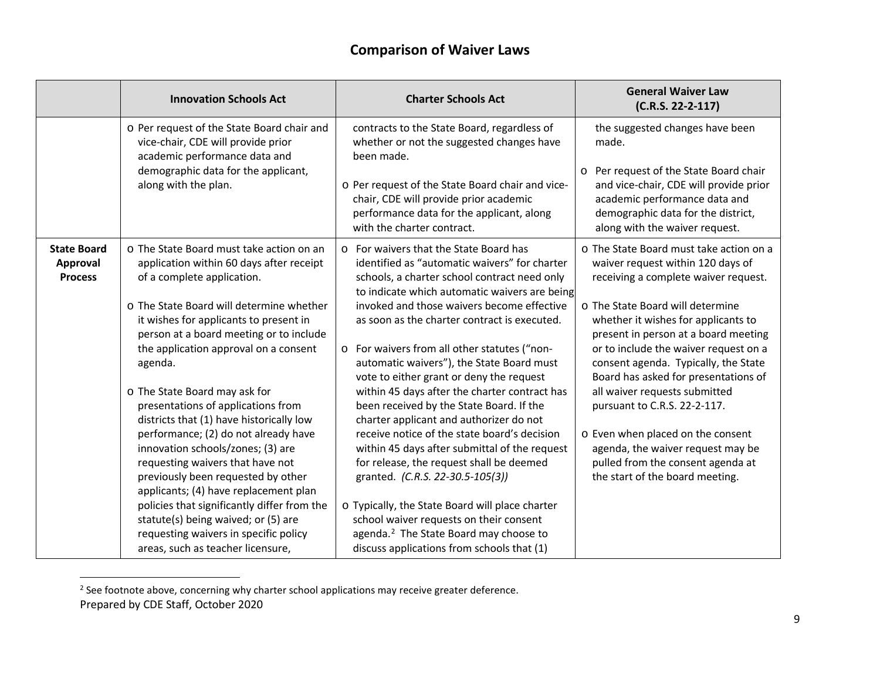<span id="page-8-0"></span>

|                                                  | <b>Innovation Schools Act</b>                                                                                                                                                                                                                                                                                                                                                                                                                                                                                                                                                                                                                                                                                                                                                                  | <b>Charter Schools Act</b>                                                                                                                                                                                                                                                                                                                                                                                                                                                                                                                                                                                                                                                                                                                                                                                                                                                                                                                                          | <b>General Waiver Law</b><br>$(C.R.S. 22-2-117)$                                                                                                                                                                                                                                                                                                                                                                                                                                                                                                                                    |
|--------------------------------------------------|------------------------------------------------------------------------------------------------------------------------------------------------------------------------------------------------------------------------------------------------------------------------------------------------------------------------------------------------------------------------------------------------------------------------------------------------------------------------------------------------------------------------------------------------------------------------------------------------------------------------------------------------------------------------------------------------------------------------------------------------------------------------------------------------|---------------------------------------------------------------------------------------------------------------------------------------------------------------------------------------------------------------------------------------------------------------------------------------------------------------------------------------------------------------------------------------------------------------------------------------------------------------------------------------------------------------------------------------------------------------------------------------------------------------------------------------------------------------------------------------------------------------------------------------------------------------------------------------------------------------------------------------------------------------------------------------------------------------------------------------------------------------------|-------------------------------------------------------------------------------------------------------------------------------------------------------------------------------------------------------------------------------------------------------------------------------------------------------------------------------------------------------------------------------------------------------------------------------------------------------------------------------------------------------------------------------------------------------------------------------------|
|                                                  | o Per request of the State Board chair and<br>vice-chair, CDE will provide prior<br>academic performance data and<br>demographic data for the applicant,<br>along with the plan.                                                                                                                                                                                                                                                                                                                                                                                                                                                                                                                                                                                                               | contracts to the State Board, regardless of<br>whether or not the suggested changes have<br>been made.<br>o Per request of the State Board chair and vice-<br>chair, CDE will provide prior academic<br>performance data for the applicant, along<br>with the charter contract.                                                                                                                                                                                                                                                                                                                                                                                                                                                                                                                                                                                                                                                                                     | the suggested changes have been<br>made.<br>Per request of the State Board chair<br>$\circ$<br>and vice-chair, CDE will provide prior<br>academic performance data and<br>demographic data for the district,<br>along with the waiver request.                                                                                                                                                                                                                                                                                                                                      |
| <b>State Board</b><br>Approval<br><b>Process</b> | o The State Board must take action on an<br>application within 60 days after receipt<br>of a complete application.<br>o The State Board will determine whether<br>it wishes for applicants to present in<br>person at a board meeting or to include<br>the application approval on a consent<br>agenda.<br>o The State Board may ask for<br>presentations of applications from<br>districts that (1) have historically low<br>performance; (2) do not already have<br>innovation schools/zones; (3) are<br>requesting waivers that have not<br>previously been requested by other<br>applicants; (4) have replacement plan<br>policies that significantly differ from the<br>statute(s) being waived; or (5) are<br>requesting waivers in specific policy<br>areas, such as teacher licensure, | o For waivers that the State Board has<br>identified as "automatic waivers" for charter<br>schools, a charter school contract need only<br>to indicate which automatic waivers are being<br>invoked and those waivers become effective<br>as soon as the charter contract is executed.<br>For waivers from all other statutes ("non-<br>$\circ$<br>automatic waivers"), the State Board must<br>vote to either grant or deny the request<br>within 45 days after the charter contract has<br>been received by the State Board. If the<br>charter applicant and authorizer do not<br>receive notice of the state board's decision<br>within 45 days after submittal of the request<br>for release, the request shall be deemed<br>granted. (C.R.S. 22-30.5-105(3))<br>o Typically, the State Board will place charter<br>school waiver requests on their consent<br>agenda. <sup>2</sup> The State Board may choose to<br>discuss applications from schools that (1) | o The State Board must take action on a<br>waiver request within 120 days of<br>receiving a complete waiver request.<br>o The State Board will determine<br>whether it wishes for applicants to<br>present in person at a board meeting<br>or to include the waiver request on a<br>consent agenda. Typically, the State<br>Board has asked for presentations of<br>all waiver requests submitted<br>pursuant to C.R.S. 22-2-117.<br>o Even when placed on the consent<br>agenda, the waiver request may be<br>pulled from the consent agenda at<br>the start of the board meeting. |

Prepared by CDE Staff, October 2020 <sup>2</sup> See footnote above, concerning why charter school applications may receive greater deference.